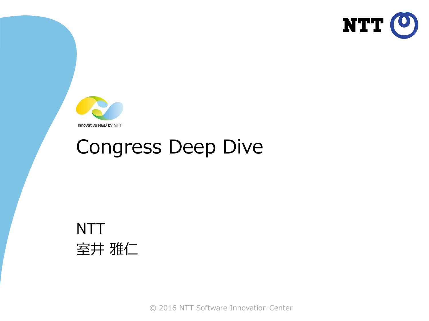



#### Congress Deep Dive



© 2016 NTT Software Innovation Center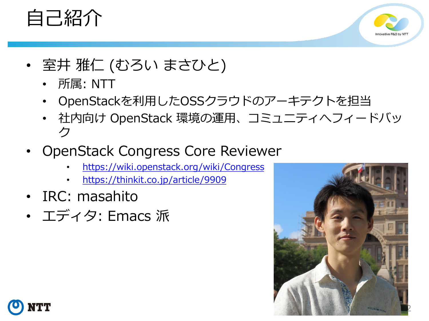



- 室井 雅仁 (むろい まさひと)
	- 所属: NTT
	- OpenStackを利用したOSSクラウドのアーキテクトを担当
	- 社内向け OpenStack 環境の運用、コミュニティへフィードバッ ク
- OpenStack Congress Core Reviewer
	- <https://wiki.openstack.org/wiki/Congress>
	- <https://thinkit.co.jp/article/9909>
- IRC: masahito
- エディタ: Emacs 派



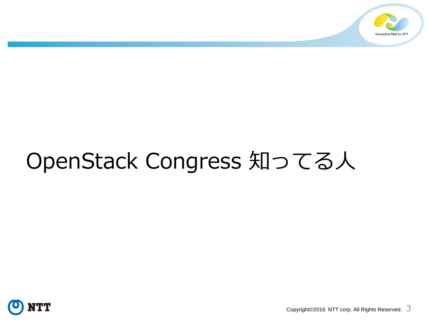

# OpenStack Congress 知ってる人



Copyright©2016 NTT corp. All Rights Reserved.  $3$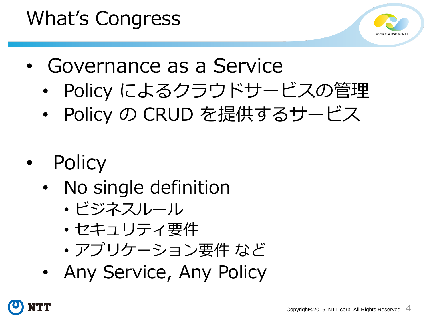## What's Congress



- Governance as a Service
	- Policy によるクラウドサービスの管理
	- Policy の CRUD を提供するサービス
- **Policy** 
	- No single definition
		- ビジネスルール
		- セキュリティ要件
		- アプリケーション要件 など
	- Any Service, Any Policy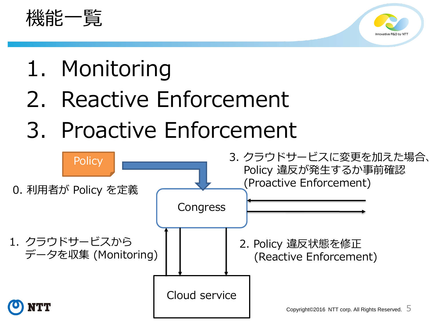



- 1. Monitoring
- 2. Reactive Enforcement
- 3. Proactive Enforcement

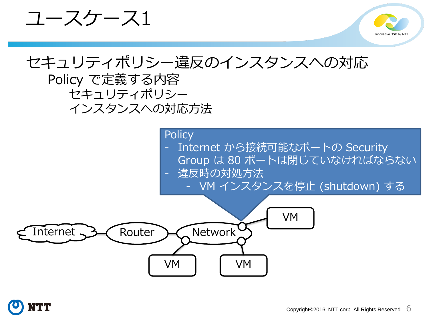ユースケース1



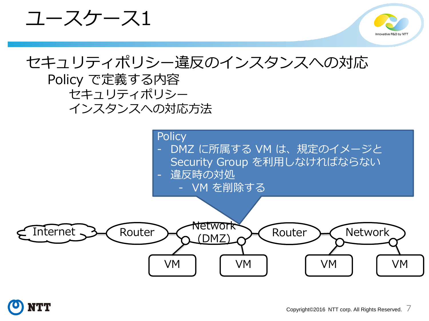ユースケース1



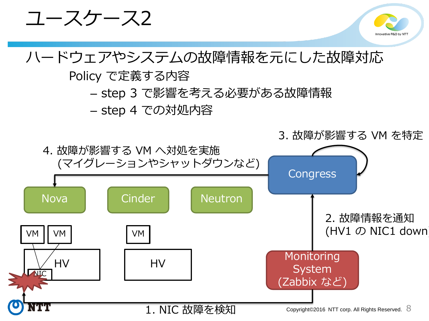

1. NIC 故障を検知

Copyright©2016 NTT corp. All Rights Reserved.  $8$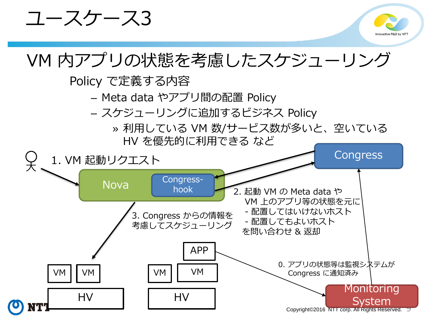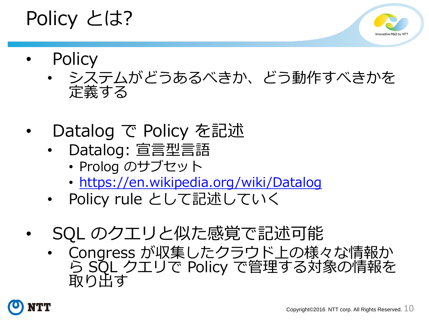#### Policy とは?



- **Policy** 
	- システムがどうあるべきか、どう動作すべきかを 定義する
- Datalog で Policy を記述
	- Datalog: 宣言型言語
		- Prolog のサブセット
		- <https://en.wikipedia.org/wiki/Datalog>
	- Policy rule として記述していく
- SQL のクエリと似た感覚で記述可能
	- Congress が収集したクラウド上の様々な情報か ら SQL クエリで Policy で管理する対象の情報を 取り出す

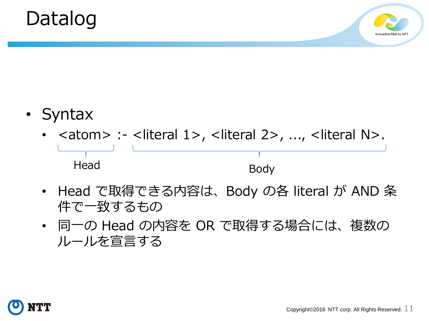



- Syntax
	- $\lambda$  <atom> :- <literal 1>, <literal 2>, ..., <literal N>. Head Body
	- Head で取得できる内容は、Body の各 literal が AND 条 件で一致するもの
	- 同一の Head の内容を OR で取得する場合には、複数の ルールを宣言する

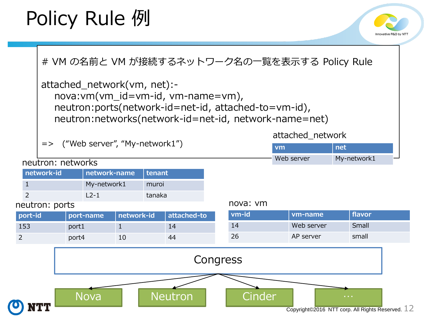## Policy Rule 例



# VM の名前と VM が接続するネットワーク名の一覧を表示する Policy Rule

```
attached_network(vm, net):-
  nova:vm(vm_id=vm-id, vm-name=vm), 
  neutron:ports(network-id=net-id, attached-to=vm-id),
  neutron:networks(network-id=net-id, network-name=net)
```
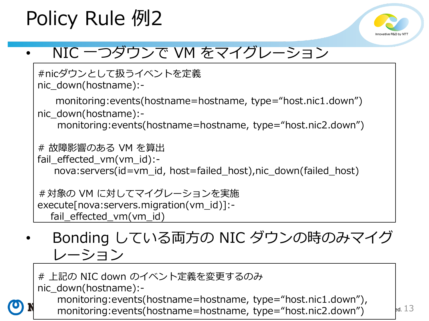## Policy Rule 例2



#### • NIC 一つダウンで VM をマイグレーション

```
#nicダウンとして扱うイベントを定義
nic_down(hostname):-
   monitoring:events(hostname=hostname, type="host.nic1.down")
nic_down(hostname):-
   monitoring:events(hostname=hostname, type="host.nic2.down")
# 故障影響のある VM を算出
fail effected vm(vm id):-
   nova: servers (id=vm_id, host=failed_host),nic_down(failed_host)
#対象の VM に対してマイグレーションを実施
execute[nova:servers.migration(vm_id)]:-
  fail effected vm(vm id)
```
• Bonding している両方の NIC ダウンの時のみマイグ レーション

monitoring:events(hostname=hostname, type="host.nic2.down")  $\mathbb{R}^{d}$ . 13 # 上記の NIC down のイベント定義を変更するのみ nic\_down(hostname):monitoring:events(hostname=hostname, type="host.nic1.down"),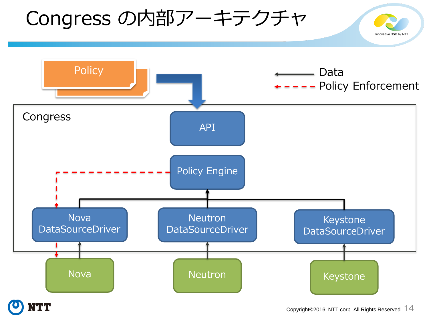#### Congress の内部アーキテクチャ Innovative R&D by NT



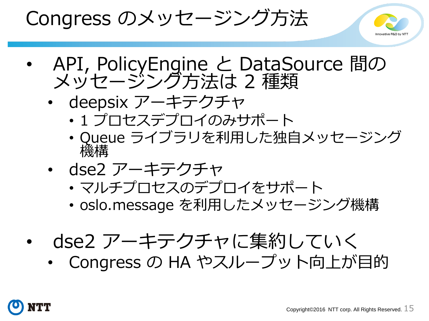Congress のメッセージング方法



- API, PolicyEngine と DataSource 間の メッセージング方法は 2 種類
	- deepsix アーキテクチャ
		- 1 プロセスデプロイのみサポート
		- Queue ライブラリを利用した独自メッセージング 機構
	- dse2 アーキテクチャ
		- マルチプロセスのデプロイをサポート
		- oslo.message を利用したメッセージング機構
- dse2 アーキテクチャに集約していく
	- Congress の HA やスループット向上が目的

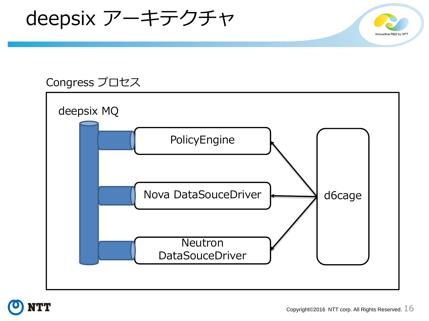deepsix アーキテクチャ

#### Congress プロセス





Innovative R&D by N7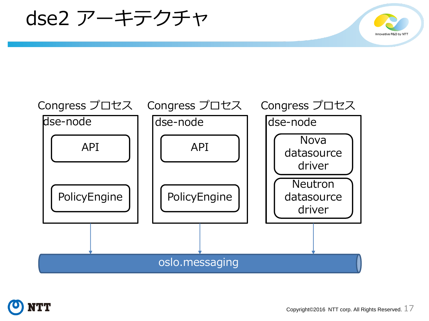dse2 アーキテクチャ





Innovative R&D by N7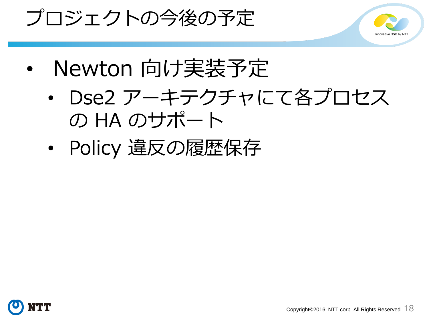



- Newton 向け実装予定
	- Dse2 アーキテクチャにて各プロセス の HA のサポート
	- Policy 違反の履歴保存